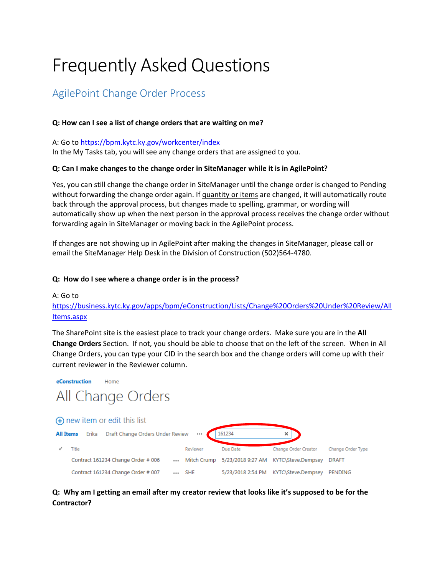# Frequently Asked Questions

# AgilePoint Change Order Process

#### **Q: How can I see a list of change orders that are waiting on me?**

#### A: Go to https://bpm.kytc.ky.gov/workcenter/index

In the My Tasks tab, you will see any change orders that are assigned to you.

#### **Q: Can I make changes to the change order in SiteManager while it is in AgilePoint?**

Yes, you can still change the change order in SiteManager until the change order is changed to Pending without forwarding the change order again. If quantity or items are changed, it will automatically route back through the approval process, but changes made to spelling, grammar, or wording will automatically show up when the next person in the approval process receives the change order without forwarding again in SiteManager or moving back in the AgilePoint process.

If changes are not showing up in AgilePoint after making the changes in SiteManager, please call or email the SiteManager Help Desk in the Division of Construction (502)564‐4780.

#### **Q: How do I see where a change order is in the process?**

#### A: Go to

# https://business.kytc.ky.gov/apps/bpm/eConstruction/Lists/Change%20Orders%20Under%20Review/All Items.aspx

The SharePoint site is the easiest place to track your change orders. Make sure you are in the **All Change Orders** Section. If not, you should be able to choose that on the left of the screen. When in All Change Orders, you can type your CID in the search box and the change orders will come up with their current reviewer in the Reviewer column.



# Q: Why am I getting an email after my creator review that looks like it's supposed to be for the **Contractor?**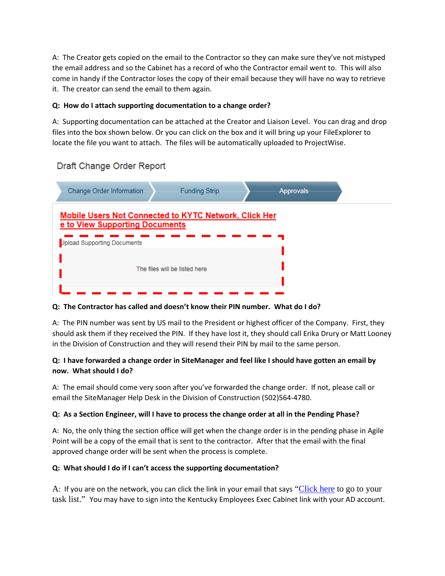A: The Creator gets copied on the email to the Contractor so they can make sure they've not mistyped the email address and so the Cabinet has a record of who the Contractor email went to. This will also come in handy if the Contractor loses the copy of their email because they will have no way to retrieve it. The creator can send the email to them again.

#### **Q: How do I attach supporting documentation to a change order?**

A: Supporting documentation can be attached at the Creator and Liaison Level. You can drag and drop files into the box shown below. Or you can click on the box and it will bring up your FileExplorer to locate the file you want to attach. The files will be automatically uploaded to ProjectWise.

| Change Order Information                                             | <b>Funding Strip</b>                                         | Approvals |  |
|----------------------------------------------------------------------|--------------------------------------------------------------|-----------|--|
| e to View Supporting Documents<br><b>Jpload Supporting Documents</b> | <b>Mobile Users Not Connected to KYTC Network, Click Her</b> |           |  |
|                                                                      | The files will be listed here                                |           |  |

# Draft Change Order Report

**Q: The Contractor has called and doesn't know their PIN number. What do I do?**

A: The PIN number was sent by US mail to the President or highest officer of the Company. First, they should ask them if they received the PIN. If they have lost it, they should call Erika Drury or Matt Looney in the Division of Construction and they will resend their PIN by mail to the same person.

# Q: I have forwarded a change order in SiteManager and feel like I should have gotten an email by **now. What should I do?**

A: The email should come very soon after you've forwarded the change order. If not, please call or email the SiteManager Help Desk in the Division of Construction (502)564‐4780.

#### Q: As a Section Engineer, will I have to process the change order at all in the Pending Phase?

A: No, the only thing the section office will get when the change order is in the pending phase in Agile Point will be a copy of the email that is sent to the contractor. After that the email with the final approved change order will be sent when the process is complete.

#### **Q: What should I do if I can't access the supporting documentation?**

A: If you are on the network, you can click the link in your email that says "Click here to go to your task list." You may have to sign into the Kentucky Employees Exec Cabinet link with your AD account.